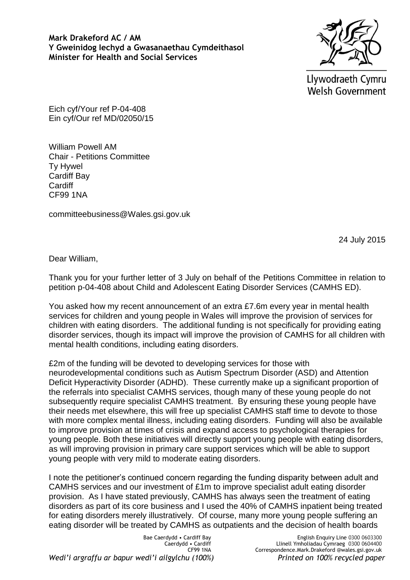**Mark Drakeford AC / AM Y Gweinidog Iechyd a Gwasanaethau Cymdeithasol Minister for Health and Social Services**



Llywodraeth Cymru **Welsh Government** 

Eich cyf/Your ref P-04-408 Ein cyf/Our ref MD/02050/15

William Powell AM Chair - Petitions Committee Ty Hywel Cardiff Bay **Cardiff** CF99 1NA

committeebusiness@Wales.gsi.gov.uk

24 July 2015

Dear William,

Thank you for your further letter of 3 July on behalf of the Petitions Committee in relation to petition p-04-408 about Child and Adolescent Eating Disorder Services (CAMHS ED).

You asked how my recent announcement of an extra £7.6m every year in mental health services for children and young people in Wales will improve the provision of services for children with eating disorders. The additional funding is not specifically for providing eating disorder services, though its impact will improve the provision of CAMHS for all children with mental health conditions, including eating disorders.

£2m of the funding will be devoted to developing services for those with neurodevelopmental conditions such as Autism Spectrum Disorder (ASD) and Attention Deficit Hyperactivity Disorder (ADHD). These currently make up a significant proportion of the referrals into specialist CAMHS services, though many of these young people do not subsequently require specialist CAMHS treatment. By ensuring these young people have their needs met elsewhere, this will free up specialist CAMHS staff time to devote to those with more complex mental illness, including eating disorders. Funding will also be available to improve provision at times of crisis and expand access to psychological therapies for young people. Both these initiatives will directly support young people with eating disorders, as will improving provision in primary care support services which will be able to support young people with very mild to moderate eating disorders.

I note the petitioner's continued concern regarding the funding disparity between adult and CAMHS services and our investment of £1m to improve specialist adult eating disorder provision. As I have stated previously, CAMHS has always seen the treatment of eating disorders as part of its core business and I used the 40% of CAMHS inpatient being treated for eating disorders merely illustratively. Of course, many more young people suffering an eating disorder will be treated by CAMHS as outpatients and the decision of health boards